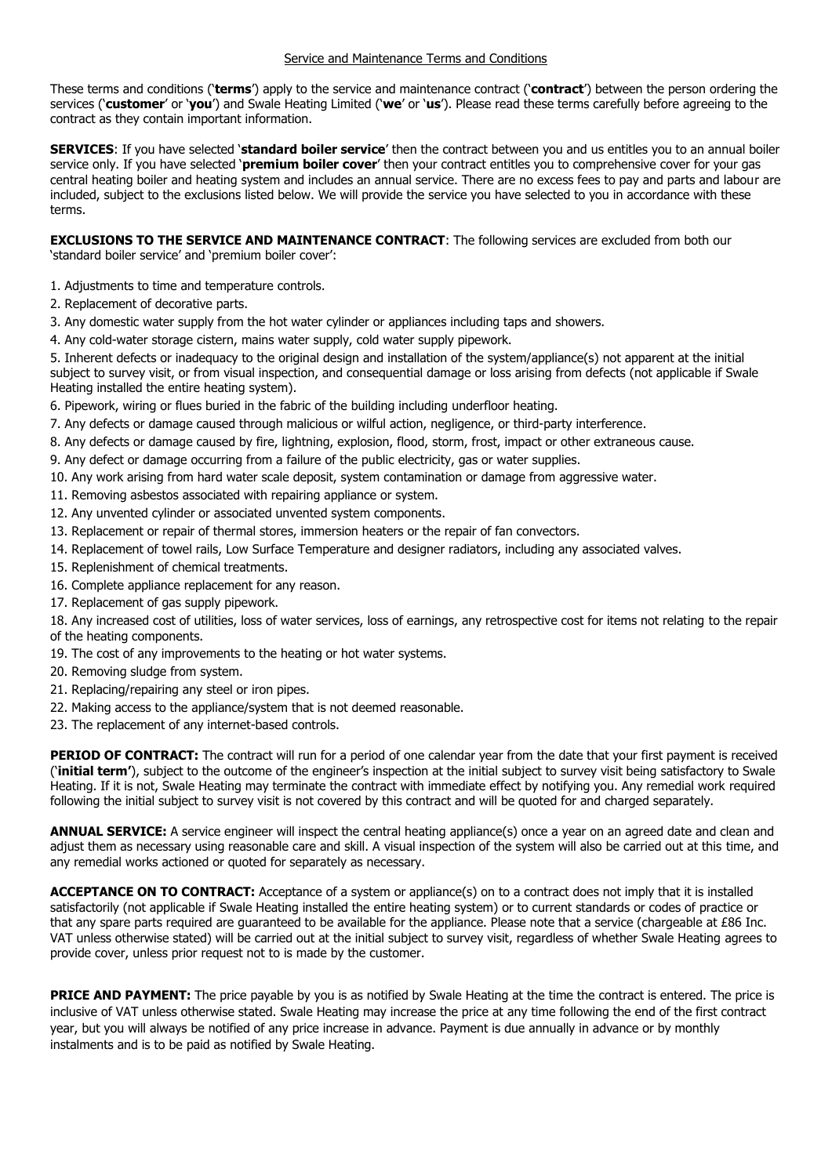These terms and conditions ('**terms**') apply to the service and maintenance contract ('**contract**') between the person ordering the services ('**customer**' or '**you**') and Swale Heating Limited ('**we**' or '**us**'). Please read these terms carefully before agreeing to the contract as they contain important information.

**SERVICES**: If you have selected '**standard boiler service**' then the contract between you and us entitles you to an annual boiler service only. If you have selected '**premium boiler cover**' then your contract entitles you to comprehensive cover for your gas central heating boiler and heating system and includes an annual service. There are no excess fees to pay and parts and labour are included, subject to the exclusions listed below. We will provide the service you have selected to you in accordance with these terms.

**EXCLUSIONS TO THE SERVICE AND MAINTENANCE CONTRACT:** The following services are excluded from both our 'standard boiler service' and 'premium boiler cover':

- 1. Adjustments to time and temperature controls.
- 2. Replacement of decorative parts.
- 3. Any domestic water supply from the hot water cylinder or appliances including taps and showers.
- 4. Any cold-water storage cistern, mains water supply, cold water supply pipework.

5. Inherent defects or inadequacy to the original design and installation of the system/appliance(s) not apparent at the initial subject to survey visit, or from visual inspection, and consequential damage or loss arising from defects (not applicable if Swale Heating installed the entire heating system).

6. Pipework, wiring or flues buried in the fabric of the building including underfloor heating.

- 7. Any defects or damage caused through malicious or wilful action, negligence, or third-party interference.
- 8. Any defects or damage caused by fire, lightning, explosion, flood, storm, frost, impact or other extraneous cause.
- 9. Any defect or damage occurring from a failure of the public electricity, gas or water supplies.
- 10. Any work arising from hard water scale deposit, system contamination or damage from aggressive water.
- 11. Removing asbestos associated with repairing appliance or system.
- 12. Any unvented cylinder or associated unvented system components.
- 13. Replacement or repair of thermal stores, immersion heaters or the repair of fan convectors.
- 14. Replacement of towel rails, Low Surface Temperature and designer radiators, including any associated valves.
- 15. Replenishment of chemical treatments.
- 16. Complete appliance replacement for any reason.
- 17. Replacement of gas supply pipework.

18. Any increased cost of utilities, loss of water services, loss of earnings, any retrospective cost for items not relating to the repair of the heating components.

- 19. The cost of any improvements to the heating or hot water systems.
- 20. Removing sludge from system.
- 21. Replacing/repairing any steel or iron pipes.
- 22. Making access to the appliance/system that is not deemed reasonable.
- 23. The replacement of any internet-based controls.

PERIOD OF CONTRACT: The contract will run for a period of one calendar year from the date that your first payment is received ('**initial term'**), subject to the outcome of the engineer's inspection at the initial subject to survey visit being satisfactory to Swale Heating. If it is not, Swale Heating may terminate the contract with immediate effect by notifying you. Any remedial work required following the initial subject to survey visit is not covered by this contract and will be quoted for and charged separately.

**ANNUAL SERVICE:** A service engineer will inspect the central heating appliance(s) once a year on an agreed date and clean and adjust them as necessary using reasonable care and skill. A visual inspection of the system will also be carried out at this time, and any remedial works actioned or quoted for separately as necessary.

**ACCEPTANCE ON TO CONTRACT:** Acceptance of a system or appliance(s) on to a contract does not imply that it is installed satisfactorily (not applicable if Swale Heating installed the entire heating system) or to current standards or codes of practice or that any spare parts required are guaranteed to be available for the appliance. Please note that a service (chargeable at £86 Inc. VAT unless otherwise stated) will be carried out at the initial subject to survey visit, regardless of whether Swale Heating agrees to provide cover, unless prior request not to is made by the customer.

**PRICE AND PAYMENT:** The price payable by you is as notified by Swale Heating at the time the contract is entered. The price is inclusive of VAT unless otherwise stated. Swale Heating may increase the price at any time following the end of the first contract year, but you will always be notified of any price increase in advance. Payment is due annually in advance or by monthly instalments and is to be paid as notified by Swale Heating.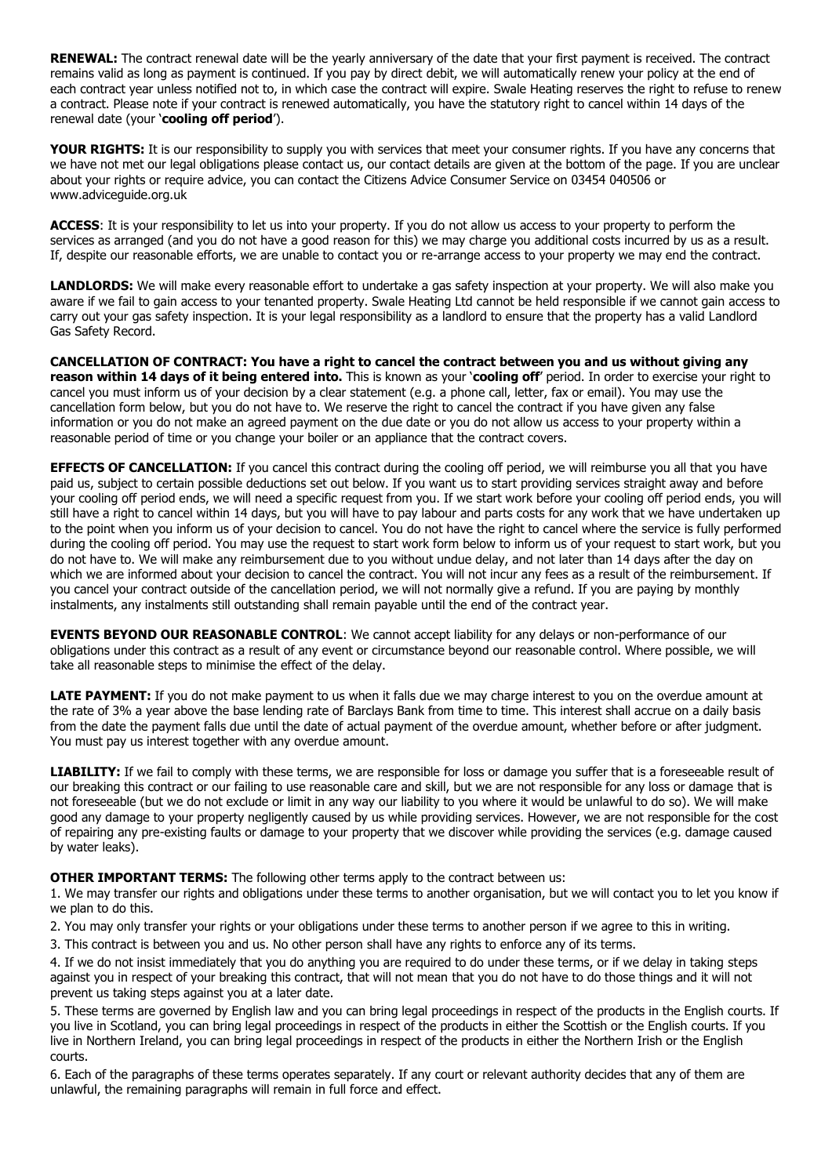**RENEWAL:** The contract renewal date will be the yearly anniversary of the date that your first payment is received. The contract remains valid as long as payment is continued. If you pay by direct debit, we will automatically renew your policy at the end of each contract year unless notified not to, in which case the contract will expire. Swale Heating reserves the right to refuse to renew a contract. Please note if your contract is renewed automatically, you have the statutory right to cancel within 14 days of the renewal date (your '**cooling off period**').

**YOUR RIGHTS:** It is our responsibility to supply you with services that meet your consumer rights. If you have any concerns that we have not met our legal obligations please contact us, our contact details are given at the bottom of the page. If you are unclear about your rights or require advice, you can contact the Citizens Advice Consumer Service on 03454 040506 or www.adviceguide.org.uk

**ACCESS**: It is your responsibility to let us into your property. If you do not allow us access to your property to perform the services as arranged (and you do not have a good reason for this) we may charge you additional costs incurred by us as a result. If, despite our reasonable efforts, we are unable to contact you or re-arrange access to your property we may end the contract.

LANDLORDS: We will make every reasonable effort to undertake a gas safety inspection at your property. We will also make you aware if we fail to gain access to your tenanted property. Swale Heating Ltd cannot be held responsible if we cannot gain access to carry out your gas safety inspection. It is your legal responsibility as a landlord to ensure that the property has a valid Landlord Gas Safety Record.

**CANCELLATION OF CONTRACT: You have a right to cancel the contract between you and us without giving any reason within 14 days of it being entered into.** This is known as your '**cooling off**' period. In order to exercise your right to cancel you must inform us of your decision by a clear statement (e.g. a phone call, letter, fax or email). You may use the cancellation form below, but you do not have to. We reserve the right to cancel the contract if you have given any false information or you do not make an agreed payment on the due date or you do not allow us access to your property within a reasonable period of time or you change your boiler or an appliance that the contract covers.

**EFFECTS OF CANCELLATION:** If you cancel this contract during the cooling off period, we will reimburse you all that you have paid us, subject to certain possible deductions set out below. If you want us to start providing services straight away and before your cooling off period ends, we will need a specific request from you. If we start work before your cooling off period ends, you will still have a right to cancel within 14 days, but you will have to pay labour and parts costs for any work that we have undertaken up to the point when you inform us of your decision to cancel. You do not have the right to cancel where the service is fully performed during the cooling off period. You may use the request to start work form below to inform us of your request to start work, but you do not have to. We will make any reimbursement due to you without undue delay, and not later than 14 days after the day on which we are informed about your decision to cancel the contract. You will not incur any fees as a result of the reimbursement. If you cancel your contract outside of the cancellation period, we will not normally give a refund. If you are paying by monthly instalments, any instalments still outstanding shall remain payable until the end of the contract year.

**EVENTS BEYOND OUR REASONABLE CONTROL**: We cannot accept liability for any delays or non-performance of our obligations under this contract as a result of any event or circumstance beyond our reasonable control. Where possible, we will take all reasonable steps to minimise the effect of the delay.

**LATE PAYMENT:** If you do not make payment to us when it falls due we may charge interest to you on the overdue amount at the rate of 3% a year above the base lending rate of Barclays Bank from time to time. This interest shall accrue on a daily basis from the date the payment falls due until the date of actual payment of the overdue amount, whether before or after judgment. You must pay us interest together with any overdue amount.

LIABILITY: If we fail to comply with these terms, we are responsible for loss or damage you suffer that is a foreseeable result of our breaking this contract or our failing to use reasonable care and skill, but we are not responsible for any loss or damage that is not foreseeable (but we do not exclude or limit in any way our liability to you where it would be unlawful to do so). We will make good any damage to your property negligently caused by us while providing services. However, we are not responsible for the cost of repairing any pre-existing faults or damage to your property that we discover while providing the services (e.g. damage caused by water leaks).

**OTHER IMPORTANT TERMS:** The following other terms apply to the contract between us:

1. We may transfer our rights and obligations under these terms to another organisation, but we will contact you to let you know if we plan to do this.

2. You may only transfer your rights or your obligations under these terms to another person if we agree to this in writing.

3. This contract is between you and us. No other person shall have any rights to enforce any of its terms.

4. If we do not insist immediately that you do anything you are required to do under these terms, or if we delay in taking steps against you in respect of your breaking this contract, that will not mean that you do not have to do those things and it will not prevent us taking steps against you at a later date.

5. These terms are governed by English law and you can bring legal proceedings in respect of the products in the English courts. If you live in Scotland, you can bring legal proceedings in respect of the products in either the Scottish or the English courts. If you live in Northern Ireland, you can bring legal proceedings in respect of the products in either the Northern Irish or the English courts.

6. Each of the paragraphs of these terms operates separately. If any court or relevant authority decides that any of them are unlawful, the remaining paragraphs will remain in full force and effect.